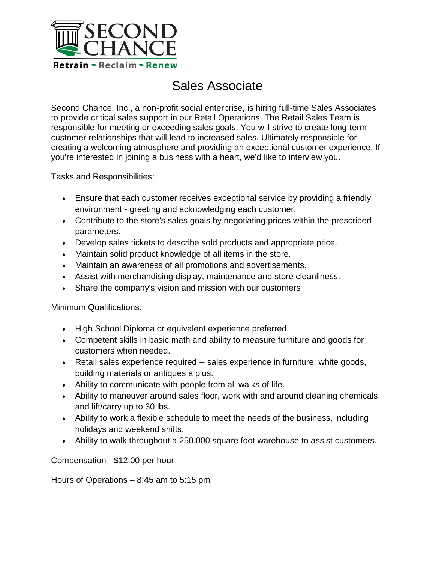

## Sales Associate

Second Chance, Inc., a non-profit social enterprise, is hiring full-time Sales Associates to provide critical sales support in our Retail Operations. The Retail Sales Team is responsible for meeting or exceeding sales goals. You will strive to create long-term customer relationships that will lead to increased sales. Ultimately responsible for creating a welcoming atmosphere and providing an exceptional customer experience. If you're interested in joining a business with a heart, we'd like to interview you.

Tasks and Responsibilities:

- Ensure that each customer receives exceptional service by providing a friendly environment - greeting and acknowledging each customer.
- Contribute to the store's sales goals by negotiating prices within the prescribed parameters.
- Develop sales tickets to describe sold products and appropriate price.
- Maintain solid product knowledge of all items in the store.
- Maintain an awareness of all promotions and advertisements.
- Assist with merchandising display, maintenance and store cleanliness.
- Share the company's vision and mission with our customers

Minimum Qualifications:

- High School Diploma or equivalent experience preferred.
- Competent skills in basic math and ability to measure furniture and goods for customers when needed.
- Retail sales experience required -- sales experience in furniture, white goods, building materials or antiques a plus.
- Ability to communicate with people from all walks of life.
- Ability to maneuver around sales floor, work with and around cleaning chemicals, and lift/carry up to 30 lbs.
- Ability to work a flexible schedule to meet the needs of the business, including holidays and weekend shifts.
- Ability to walk throughout a 250,000 square foot warehouse to assist customers.

Compensation - \$12.00 per hour

Hours of Operations – 8:45 am to 5:15 pm